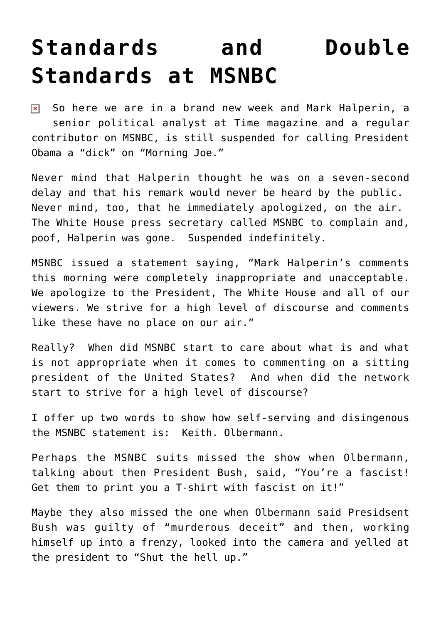## **[Standards and Double](https://bernardgoldberg.com/standards-and-double-standards-at-msnbc/) [Standards at MSNBC](https://bernardgoldberg.com/standards-and-double-standards-at-msnbc/)**

So here we are in a brand new week and Mark Halperin, a senior political analyst at Time magazine and a regular contributor on MSNBC, is still suspended for calling President Obama a "dick" on "Morning Joe."

Never mind that Halperin thought he was on a seven-second delay and that his remark would never be heard by the public. Never mind, too, that he immediately apologized, on the air. The White House press secretary called MSNBC to complain and, poof, Halperin was gone. Suspended indefinitely.

MSNBC issued a statement saying, "Mark Halperin's comments this morning were completely inappropriate and unacceptable. We apologize to the President, The White House and all of our viewers. We strive for a high level of discourse and comments like these have no place on our air."

Really? When did MSNBC start to care about what is and what is not appropriate when it comes to commenting on a sitting president of the United States? And when did the network start to strive for a high level of discourse?

I offer up two words to show how self-serving and disingenous the MSNBC statement is: Keith. Olbermann.

Perhaps the MSNBC suits missed the show when Olbermann, talking about then President Bush, said, "You're a fascist! Get them to print you a T-shirt with fascist on it!"

Maybe they also missed the one when Olbermann said Presidsent Bush was guilty of "murderous deceit" and then, working himself up into a frenzy, looked into the camera and yelled at the president to "Shut the hell up."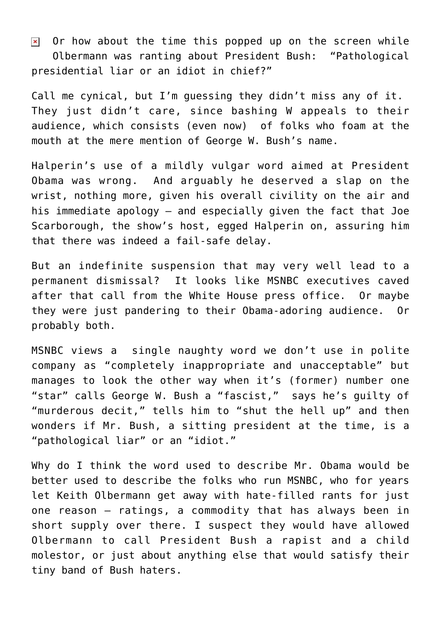Or how about the time this popped up on the screen while  $\pmb{\times}$ Olbermann was ranting about President Bush: "Pathological presidential liar or an idiot in chief?"

Call me cynical, but I'm guessing they didn't miss any of it. They just didn't care, since bashing W appeals to their audience, which consists (even now) of folks who foam at the mouth at the mere mention of George W. Bush's name.

Halperin's use of a mildly vulgar word aimed at President Obama was wrong. And arguably he deserved a slap on the wrist, nothing more, given his overall civility on the air and his immediate apology – and especially given the fact that Joe Scarborough, the show's host, egged Halperin on, assuring him that there was indeed a fail-safe delay.

But an indefinite suspension that may very well lead to a permanent dismissal? It looks like MSNBC executives caved after that call from the White House press office. Or maybe they were just pandering to their Obama-adoring audience. Or probably both.

MSNBC views a single naughty word we don't use in polite company as "completely inappropriate and unacceptable" but manages to look the other way when it's (former) number one "star" calls George W. Bush a "fascist," says he's guilty of "murderous decit," tells him to "shut the hell up" and then wonders if Mr. Bush, a sitting president at the time, is a "pathological liar" or an "idiot."

Why do I think the word used to describe Mr. Obama would be better used to describe the folks who run MSNBC, who for years let Keith Olbermann get away with hate-filled rants for just one reason – ratings, a commodity that has always been in short supply over there. I suspect they would have allowed Olbermann to call President Bush a rapist and a child molestor, or just about anything else that would satisfy their tiny band of Bush haters.